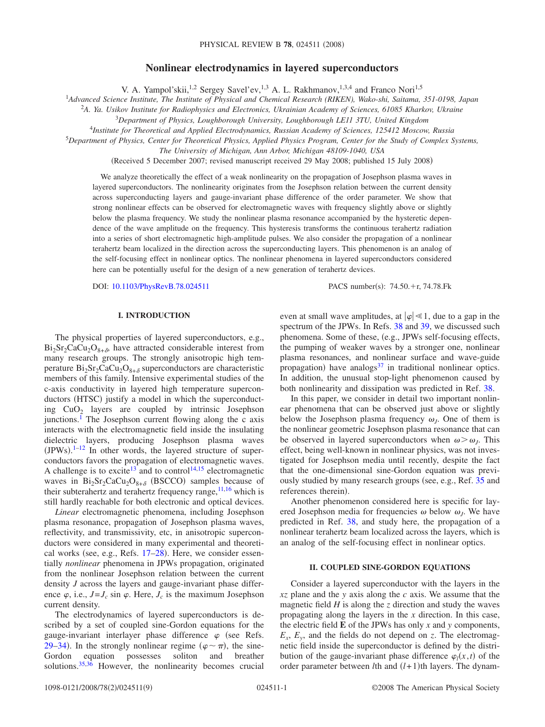# **Nonlinear electrodynamics in layered superconductors**

V. A. Yampol'skii,<sup>1,2</sup> Sergey Savel'ev,<sup>1,3</sup> A. L. Rakhmanov,<sup>1,3,4</sup> and Franco Nori<sup>1,5</sup>

1 *Advanced Science Institute, The Institute of Physical and Chemical Research (RIKEN), Wako-shi, Saitama, 351-0198, Japan*

2 *A. Ya. Usikov Institute for Radiophysics and Electronics, Ukrainian Academy of Sciences, 61085 Kharkov, Ukraine*

<sup>3</sup>*Department of Physics, Loughborough University, Loughborough LE11 3TU, United Kingdom*

<sup>4</sup>*Institute for Theoretical and Applied Electrodynamics, Russian Academy of Sciences, 125412 Moscow, Russia*

5 *Department of Physics, Center for Theoretical Physics, Applied Physics Program, Center for the Study of Complex Systems,*

*The University of Michigan, Ann Arbor, Michigan 48109-1040, USA*

(Received 5 December 2007; revised manuscript received 29 May 2008; published 15 July 2008)

We analyze theoretically the effect of a weak nonlinearity on the propagation of Josephson plasma waves in layered superconductors. The nonlinearity originates from the Josephson relation between the current density across superconducting layers and gauge-invariant phase difference of the order parameter. We show that strong nonlinear effects can be observed for electromagnetic waves with frequency slightly above or slightly below the plasma frequency. We study the nonlinear plasma resonance accompanied by the hysteretic dependence of the wave amplitude on the frequency. This hysteresis transforms the continuous terahertz radiation into a series of short electromagnetic high-amplitude pulses. We also consider the propagation of a nonlinear terahertz beam localized in the direction across the superconducting layers. This phenomenon is an analog of the self-focusing effect in nonlinear optics. The nonlinear phenomena in layered superconductors considered here can be potentially useful for the design of a new generation of terahertz devices.

DOI: [10.1103/PhysRevB.78.024511](http://dx.doi.org/10.1103/PhysRevB.78.024511)

PACS number(s):  $74.50.+r$ ,  $74.78.Fk$ 

#### **I. INTRODUCTION**

The physical properties of layered superconductors, e.g.,  $Bi_2Sr_2CaCu_2O_{8+\delta}$ , have attracted considerable interest from many research groups. The strongly anisotropic high temperature  $Bi_2Sr_2CaCu_2O_{8+\delta}$  superconductors are characteristic members of this family. Intensive experimental studies of the c-axis conductivity in layered high temperature superconductors (HTSC) justify a model in which the superconducting  $CuO<sub>2</sub>$  layers are coupled by intrinsic Josephson junctions.<sup>1</sup> The Josephson current flowing along the c axis interacts with the electromagnetic field inside the insulating dielectric layers, producing Josephson plasma waves  $(IPWs).<sup>1-12</sup>$  $(IPWs).<sup>1-12</sup>$  $(IPWs).<sup>1-12</sup>$  In other words, the layered structure of superconductors favors the propagation of electromagnetic waves. A challenge is to excite<sup>13</sup> and to control<sup>14[,15](#page-8-4)</sup> electromagnetic waves in  $Bi_2Sr_2CaCu_2O_{8+\delta}$  (BSCCO) samples because of their subterahertz and terahertz frequency range,  $11,16$  $11,16$  which is still hardly reachable for both electronic and optical devices.

*Linear* electromagnetic phenomena, including Josephson plasma resonance, propagation of Josephson plasma waves, reflectivity, and transmissivity, etc, in anisotropic superconductors were considered in many experimental and theoreti-cal works (see, e.g., Refs. [17](#page-8-7)[–28](#page-8-8)). Here, we consider essentially *nonlinear* phenomena in JPWs propagation, originated from the nonlinear Josephson relation between the current density *J* across the layers and gauge-invariant phase difference  $\varphi$ , i.e.,  $J = J_c \sin \varphi$ . Here,  $J_c$  is the maximum Josephson current density.

The electrodynamics of layered superconductors is described by a set of coupled sine-Gordon equations for the gauge-invariant interlayer phase difference  $\varphi$  (see Refs. [29](#page-8-9)[–34](#page-8-10)). In the strongly nonlinear regime  $(\varphi \sim \pi)$ , the sine-Gordon equation possesses soliton and breather solutions.<sup>35,[36](#page-8-12)</sup> However, the nonlinearity becomes crucial

even at small wave amplitudes, at  $|\varphi| \ll 1$ , due to a gap in the spectrum of the JPWs. In Refs. [38](#page-8-13) and [39,](#page-8-14) we discussed such phenomena. Some of these, (e.g., JPWs self-focusing effects, the pumping of weaker waves by a stronger one, nonlinear plasma resonances, and nonlinear surface and wave-guide propagation) have analogs<sup>[37](#page-8-15)</sup> in traditional nonlinear optics. In addition, the unusual stop-light phenomenon caused by both nonlinearity and dissipation was predicted in Ref. [38.](#page-8-13)

In this paper, we consider in detail two important nonlinear phenomena that can be observed just above or slightly below the Josephson plasma frequency  $\omega_l$ . One of them is the nonlinear geometric Josephson plasma resonance that can be observed in layered superconductors when  $\omega > \omega_I$ . This effect, being well-known in nonlinear physics, was not investigated for Josephson media until recently, despite the fact that the one-dimensional sine-Gordon equation was previ-ously studied by many research groups (see, e.g., Ref. [35](#page-8-11) and references therein).

Another phenomenon considered here is specific for layered Josephson media for frequencies  $\omega$  below  $\omega$ . We have predicted in Ref. [38,](#page-8-13) and study here, the propagation of a nonlinear terahertz beam localized across the layers, which is an analog of the self-focusing effect in nonlinear optics.

## **II. COUPLED SINE-GORDON EQUATIONS**

Consider a layered superconductor with the layers in the *xz* plane and the *y* axis along the *c* axis. We assume that the magnetic field  $H$  is along the  $z$  direction and study the waves propagating along the layers in the *x* direction. In this case, the electric field **E** of the JPWs has only *x* and *y* components,  $E_x$ ,  $E_y$ , and the fields do not depend on *z*. The electromagnetic field inside the superconductor is defined by the distribution of the gauge-invariant phase difference  $\varphi_l(x,t)$  of the order parameter between  $l$ th and  $(l+1)$ th layers. The dynam-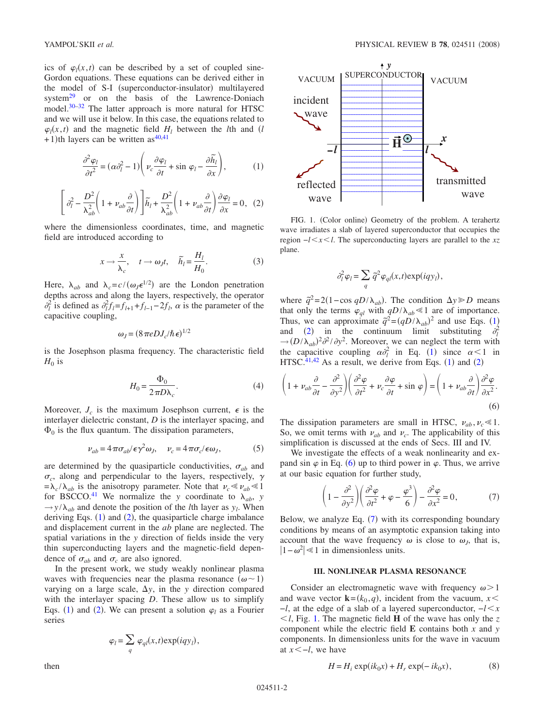ics of  $\varphi_l(x,t)$  can be described by a set of coupled sine-Gordon equations. These equations can be derived either in the model of S-I (superconductor-insulator) multilayered system $^{29}$  or on the basis of the Lawrence-Doniach model.<sup>30[–32](#page-8-17)</sup> The latter approach is more natural for HTSC and we will use it below. In this case, the equations related to  $\varphi_l(x,t)$  and the magnetic field *H<sub>l</sub>* between the *l*th and *(l*  $+1$ )th layers can be written as<sup>40,[41](#page-8-19)</sup>

$$
\frac{\partial^2 \varphi_l}{\partial t^2} = (\alpha \partial_l^2 - 1) \left( \nu_c \frac{\partial \varphi_l}{\partial t} + \sin \varphi_l - \frac{\partial \widetilde{h}_l}{\partial x} \right),\tag{1}
$$

<span id="page-1-1"></span><span id="page-1-0"></span>
$$
\left[\partial_l^2 - \frac{D^2}{\lambda_{ab}^2} \left(1 + \nu_{ab} \frac{\partial}{\partial t}\right)\right] \widetilde{h}_l + \frac{D^2}{\lambda_{ab}^2} \left(1 + \nu_{ab} \frac{\partial}{\partial t}\right) \frac{\partial \varphi_l}{\partial x} = 0, \tag{2}
$$

where the dimensionless coordinates, time, and magnetic field are introduced according to

$$
x \to \frac{x}{\lambda_c}, \quad t \to \omega_J t, \quad \tilde{h}_l = \frac{H_l}{H_0}.
$$
 (3)

Here,  $\lambda_{ab}$  and  $\lambda_c = c/(\omega_J \epsilon^{1/2})$  are the London penetration depths across and along the layers, respectively, the operator  $\partial_l^2$  is defined as  $\partial_l^2 f_l = f_{l+1} + f_{l-1} - 2f_l$ ,  $\alpha$  is the parameter of the capacitive coupling,

$$
\omega_J = (8\pi e D J_c/\hbar \epsilon)^{1/2}
$$

is the Josephson plasma frequency. The characteristic field  $H_0$  is

$$
H_0 = \frac{\Phi_0}{2\pi D\lambda_c}.\tag{4}
$$

Moreover,  $J_c$  is the maximum Josephson current,  $\epsilon$  is the interlayer dielectric constant, *D* is the interlayer spacing, and  $\Phi_0$  is the flux quantum. The dissipation parameters,

$$
\nu_{ab} = 4\pi\sigma_{ab}/\epsilon\gamma^2\omega_J, \quad \nu_c = 4\pi\sigma_c/\epsilon\omega_J,\tag{5}
$$

are determined by the quasiparticle conductivities,  $\sigma_{ab}$  and  $\sigma_c$ , along and perpendicular to the layers, respectively,  $\gamma$  $= \lambda_c / \lambda_{ab}$  is the anisotropy parameter. Note that  $\nu_c \ll \nu_{ab} \ll 1$ for BSCCO.<sup>41</sup> We normalize the *y* coordinate to  $\lambda_{ab}$ , *y*  $\rightarrow$ *y*/ $\lambda_{ab}$  and denote the position of the *l*th layer as *y<sub>l</sub>*. When deriving Eqs.  $(1)$  $(1)$  $(1)$  and  $(2)$  $(2)$  $(2)$ , the quasiparticle charge imbalance and displacement current in the *ab* plane are neglected. The spatial variations in the *y* direction of fields inside the very thin superconducting layers and the magnetic-field dependence of  $\sigma_{ab}$  and  $\sigma_c$  are also ignored.

In the present work, we study weakly nonlinear plasma waves with frequencies near the plasma resonance  $(\omega \sim 1)$ varying on a large scale,  $\Delta y$ , in the *y* direction compared with the interlayer spacing *D*. These allow us to simplify Eqs. ([1](#page-1-0)) and ([2](#page-1-1)). We can present a solution  $\varphi_l$  as a Fourier series

$$
\varphi_l = \sum_q \varphi_{ql}(x,t) \exp(iqy_l)
$$

,

then

<span id="page-1-4"></span>

FIG. 1. (Color online) Geometry of the problem. A terahertz wave irradiates a slab of layered superconductor that occupies the region −*lxl*. The superconducting layers are parallel to the *xz* plane.

$$
\partial_l^2 \varphi_l = \sum_q \tilde{q}^2 \varphi_{ql}(x, t) \exp(iqy_l),
$$

where  $\tilde{q}^2 = 2(1 - \cos qD/\lambda_{ab})$ . The condition  $\Delta y \ge D$  means that only the terms  $\varphi_{ql}$  with  $qD/\lambda_{ab} \le 1$  are of importance. Thus, we can approximate  $\tilde{q}^2 = (qD/\lambda_{ab})^2$  and use Eqs. ([1](#page-1-0)) and ([2](#page-1-1)) in the continuum limit substituting  $\partial_l^2$  $\rightarrow$   $(D/\lambda_{ab})^2 \partial^2/\partial y^2$ . Moreover, we can neglect the term with the capacitive coupling  $\alpha \partial_l^2$  in Eq. ([1](#page-1-0)) since  $\alpha < 1$  in HTSC.<sup>41,[42](#page-8-20)</sup> As a result, we derive from Eqs.  $(1)$  $(1)$  $(1)$  and  $(2)$  $(2)$  $(2)$ 

<span id="page-1-2"></span>
$$
\left(1 + \nu_{ab}\frac{\partial}{\partial t} - \frac{\partial^2}{\partial y^2}\right) \left(\frac{\partial^2 \varphi}{\partial t^2} + \nu_c \frac{\partial \varphi}{\partial t} + \sin \varphi\right) = \left(1 + \nu_{ab}\frac{\partial}{\partial t}\right)\frac{\partial^2 \varphi}{\partial x^2}.
$$
\n(6)

The dissipation parameters are small in HTSC,  $v_{ab}$ ,  $v_c \ll 1$ . So, we omit terms with  $\nu_{ab}$  and  $\nu_c$ . The applicability of this simplification is discussed at the ends of Secs. III and IV.

We investigate the effects of a weak nonlinearity and expand sin  $\varphi$  in Eq. ([6](#page-1-2)) up to third power in  $\varphi$ . Thus, we arrive at our basic equation for further study,

$$
\left(1 - \frac{\partial^2}{\partial y^2}\right) \left(\frac{\partial^2 \varphi}{\partial t^2} + \varphi - \frac{\varphi^3}{6}\right) - \frac{\partial^2 \varphi}{\partial x^2} = 0,\tag{7}
$$

<span id="page-1-3"></span>Below, we analyze Eq.  $(7)$  $(7)$  $(7)$  with its corresponding boundary conditions by means of an asymptotic expansion taking into account that the wave frequency  $\omega$  is close to  $\omega$ , that is,  $|1 - ω^2|$  ≤ 1 in dimensionless units.

#### **III. NONLINEAR PLASMA RESONANCE**

Consider an electromagnetic wave with frequency  $\omega > 1$ and wave vector  $\mathbf{k} = (k_0, q)$ , incident from the vacuum,  $x \leq$ −*l*, at the edge of a slab of a layered superconductor, −*lx*  $\leq l$ , Fig. [1.](#page-1-4) The magnetic field **H** of the wave has only the *z* component while the electric field **E** contains both *x* and *y* components. In dimensionless units for the wave in vacuum at *x*−*l*, we have

$$
H = Hi \exp(ik0x) + Hr \exp(-ik0x),
$$
 (8)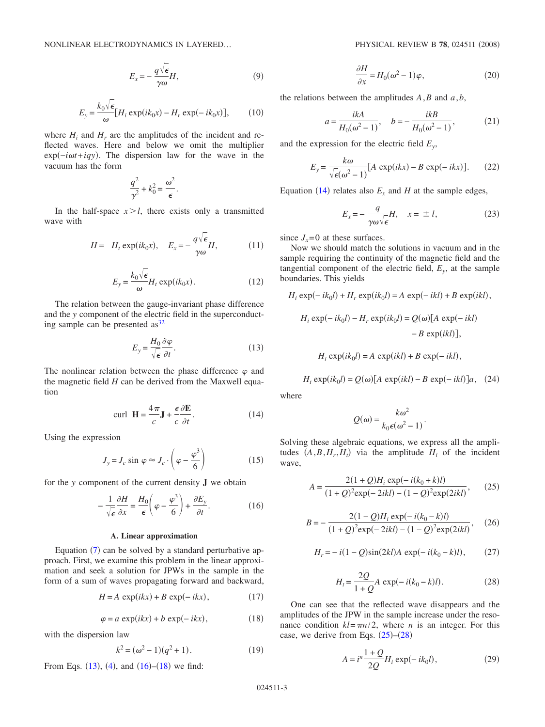$$
E_x = -\frac{q\sqrt{\epsilon}}{\gamma \omega} H,\tag{9}
$$

$$
E_y = \frac{k_0 \sqrt{\epsilon}}{\omega} [H_i \exp(ik_0 x) - H_r \exp(-ik_0 x)],\qquad(10)
$$

where  $H_i$  and  $H_r$  are the amplitudes of the incident and reflected waves. Here and below we omit the multiplier exp(-*iωt*+*iqy*). The dispersion law for the wave in the vacuum has the form

$$
\frac{q^2}{\gamma^2} + k_0^2 = \frac{\omega^2}{\epsilon}.
$$

In the half-space  $x > l$ , there exists only a transmitted wave with

$$
H = H_t \exp(ik_0 x), \quad E_x = -\frac{q\sqrt{\epsilon}}{\gamma \omega} H, \quad (11)
$$

$$
E_y = \frac{k_0 \sqrt{\epsilon}}{\omega} H_t \exp(ik_0 x). \tag{12}
$$

The relation between the gauge-invariant phase difference and the *y* component of the electric field in the superconducting sample can be presented  $as^{32}$ 

$$
E_y = \frac{H_0}{\sqrt{\epsilon}} \frac{\partial \varphi}{\partial t}.
$$
 (13)

<span id="page-2-0"></span>The nonlinear relation between the phase difference  $\varphi$  and the magnetic field *H* can be derived from the Maxwell equation

$$
\text{curl } \mathbf{H} = \frac{4\pi}{c} \mathbf{J} + \frac{\epsilon}{c} \frac{\partial \mathbf{E}}{\partial t}.
$$
 (14)

<span id="page-2-3"></span>Using the expression

$$
J_y = J_c \sin \varphi \approx J_c \cdot \left(\varphi - \frac{\varphi^3}{6}\right) \tag{15}
$$

<span id="page-2-1"></span>for the *y* component of the current density **J** we obtain

$$
-\frac{1}{\sqrt{\epsilon}}\frac{\partial H}{\partial x} = \frac{H_0}{\epsilon}\left(\varphi - \frac{\varphi^3}{6}\right) + \frac{\partial E_y}{\partial t}.\tag{16}
$$

### **A. Linear approximation**

Equation  $(7)$  $(7)$  $(7)$  can be solved by a standard perturbative approach. First, we examine this problem in the linear approximation and seek a solution for JPWs in the sample in the form of a sum of waves propagating forward and backward,

$$
H = A \, \exp(ikx) + B \, \exp(-ikx), \tag{17}
$$

$$
\varphi = a \exp(ikx) + b \exp(-ikx), \qquad (18)
$$

<span id="page-2-2"></span>with the dispersion law

$$
k^2 = (\omega^2 - 1)(q^2 + 1). \tag{19}
$$

<span id="page-2-7"></span>From Eqs.  $(13)$  $(13)$  $(13)$ ,  $(4)$  $(4)$  $(4)$ , and  $(16)–(18)$  $(16)–(18)$  $(16)–(18)$  $(16)–(18)$  $(16)–(18)$  we find:

$$
\frac{\partial H}{\partial x} = H_0(\omega^2 - 1)\varphi,\tag{20}
$$

the relations between the amplitudes *A*,*B* and *a*,*b*,

$$
a = \frac{i k A}{H_0(\omega^2 - 1)}, \quad b = -\frac{i k B}{H_0(\omega^2 - 1)},
$$
 (21)

and the expression for the electric field *Ey*,

$$
E_y = \frac{k\omega}{\sqrt{\epsilon(\omega^2 - 1)}} [A \exp(ikx) - B \exp(-ikx)].
$$
 (22)

<span id="page-2-9"></span>Equation ([14](#page-2-3)) relates also  $E_x$  and *H* at the sample edges,

$$
E_x = -\frac{q}{\gamma \omega \sqrt{\epsilon}} H, \quad x = \pm l,
$$
 (23)

<span id="page-2-10"></span>since  $J_x = 0$  at these surfaces.

Now we should match the solutions in vacuum and in the sample requiring the continuity of the magnetic field and the tangential component of the electric field,  $E<sub>v</sub>$ , at the sample boundaries. This yields

$$
H_i \exp(-ik_0l) + H_r \exp(ik_0l) = A \exp(-ikl) + B \exp(ikl),
$$
  

$$
H_i \exp(-ik_0l) - H_r \exp(ik_0l) = Q(\omega)[A \exp(-ikl) - B \exp(ikl)],
$$

$$
H_t \exp(ik_0 l) = A \exp(ikl) + B \exp(-ikl),
$$

 $H_t \exp(ik_0 l) = Q(\omega)[A \exp(ikl) - B \exp(-ikl)]a,$  (24)

where

$$
Q(\omega) = \frac{k\omega^2}{k_0 \epsilon(\omega^2 - 1)}.
$$

Solving these algebraic equations, we express all the amplitudes  $(A, B, H_r, H_t)$  via the amplitude  $H_i$  of the incident wave,

<span id="page-2-4"></span>
$$
A = \frac{2(1+Q)H_i \exp(-i(k_0+k)l)}{(1+Q)^2 \exp(-2ikl) - (1-Q)^2 \exp(2ikl)},
$$
 (25)

<span id="page-2-8"></span>
$$
B = -\frac{2(1 - Q)H_i \exp(-i(k_0 - k)l)}{(1 + Q)^2 \exp(-2ikl) - (1 - Q)^2 \exp(2ikl)},
$$
 (26)

$$
H_r = -i(1 - Q)\sin(2kl)A \exp(-i(k_0 - k)l), \qquad (27)
$$

$$
H_t = \frac{2Q}{1+Q}A \, \exp(-i(k_0 - k)l). \tag{28}
$$

<span id="page-2-6"></span><span id="page-2-5"></span>One can see that the reflected wave disappears and the amplitudes of the JPW in the sample increase under the resonance condition  $kl = \pi n/2$ , where *n* is an integer. For this case, we derive from Eqs.  $(25)-(28)$  $(25)-(28)$  $(25)-(28)$  $(25)-(28)$  $(25)-(28)$ 

$$
A = in \frac{1+Q}{2Q} H_i \exp(-ik_0 l),
$$
 (29)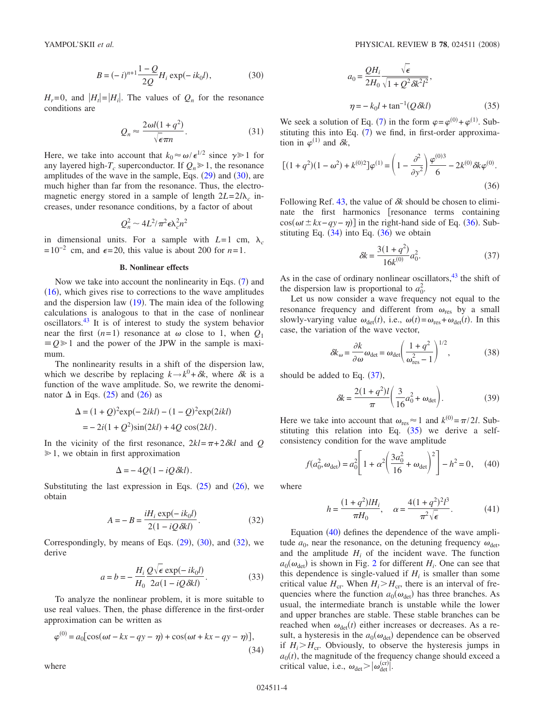$$
B = (-i)^{n+1} \frac{1-Q}{2Q} H_i \exp(-ik_0 l), \tag{30}
$$

<span id="page-3-0"></span> $H_r = 0$ , and  $|H_t| = |H_t|$ . The values of  $Q_n$  for the resonance conditions are

$$
Q_n \approx \frac{2\omega l(1+q^2)}{\sqrt{\epsilon}\pi n}.\tag{31}
$$

<span id="page-3-7"></span>Here, we take into account that  $k_0 \approx \omega / \epsilon^{1/2}$  since  $\gamma \gg 1$  for any layered high- $T_c$  superconductor. If  $Q_n \ge 1$ , the resonance amplitudes of the wave in the sample, Eqs.  $(29)$  $(29)$  $(29)$  and  $(30)$  $(30)$  $(30)$ , are much higher than far from the resonance. Thus, the electromagnetic energy stored in a sample of length  $2L = 2l\lambda_c$  increases, under resonance conditions, by a factor of about

$$
Q_n^2 \sim 4L^2/\pi^2 \epsilon \lambda_c^2 n^2
$$

in dimensional units. For a sample with  $L=1$  cm,  $\lambda_c$  $=10^{-2}$  cm, and  $\epsilon = 20$ , this value is about 200 for *n*=1.

#### **B. Nonlinear effects**

Now we take into account the nonlinearity in Eqs.  $(7)$  $(7)$  $(7)$  and  $(16)$  $(16)$  $(16)$ , which gives rise to corrections to the wave amplitudes and the dispersion law  $(19)$  $(19)$  $(19)$ . The main idea of the following calculations is analogous to that in the case of nonlinear oscillators[.43](#page-8-21) It is of interest to study the system behavior near the first  $(n=1)$  resonance at  $\omega$  close to 1, when  $Q_1$  $\equiv Q \ge 1$  and the power of the JPW in the sample is maximum.

The nonlinearity results in a shift of the dispersion law, which we describe by replacing  $k \rightarrow k^0 + \delta k$ , where  $\delta k$  is a function of the wave amplitude. So, we rewrite the denominator  $\Delta$  in Eqs. ([25](#page-2-4)) and ([26](#page-2-8)) as

$$
\Delta = (1 + Q)^2 \exp(-2ikl) - (1 - Q)^2 \exp(2ikl)
$$
  
=  $- 2i(1 + Q^2)\sin(2kl) + 4Q \cos(2kl).$ 

In the vicinity of the first resonance,  $2kl = \pi + 2\delta kl$  and *Q*  $\geq 1$ , we obtain in first approximation

$$
\Delta = -4Q(1 - iQ\delta kl).
$$

Substituting the last expression in Eqs.  $(25)$  $(25)$  $(25)$  and  $(26)$  $(26)$  $(26)$ , we obtain

$$
A = -B = \frac{iH_i \exp(-ik_0l)}{2(1 - iQ\delta kl)}.
$$
 (32)

<span id="page-3-1"></span>Correspondingly, by means of Eqs.  $(29)$  $(29)$  $(29)$ ,  $(30)$  $(30)$  $(30)$ , and  $(32)$  $(32)$  $(32)$ , we derive

$$
a = b = -\frac{H_i}{H_0} \frac{Q\sqrt{\epsilon} \exp(-ik_0l)}{2a(1 - iQ\delta kl)}.
$$
 (33)

To analyze the nonlinear problem, it is more suitable to use real values. Then, the phase difference in the first-order approximation can be written as

<span id="page-3-3"></span>
$$
\varphi^{(0)} = a_0 \left[ \cos(\omega t - kx - qy - \eta) + \cos(\omega t + kx - qy - \eta) \right],\tag{34}
$$

$$
a_0 = \frac{QH_i}{2H_0} \frac{\sqrt{\epsilon}}{\sqrt{1 + Q^2 \delta k^2 l^2}},
$$
  

$$
\eta = -k_0 l + \tan^{-1}(Q \delta k l)
$$
 (35)

<span id="page-3-5"></span>We seek a solution of Eq. ([7](#page-1-3)) in the form  $\varphi = \varphi^{(0)} + \varphi^{(1)}$ . Substituting this into Eq.  $(7)$  $(7)$  $(7)$  we find, in first-order approximation in  $\varphi^{(1)}$  and  $\delta k$ ,

<span id="page-3-2"></span>
$$
[(1+q^2)(1-\omega^2)+k^{(0)2}]\varphi^{(1)} = \left(1-\frac{\partial^2}{\partial y^2}\right)\frac{\varphi^{(0)3}}{6} - 2k^{(0)}\delta k\varphi^{(0)}.
$$
\n(36)

Following Ref.  $43$ , the value of  $\delta k$  should be chosen to eliminate the first harmonics resonance terms containing  $cos(\omega t \pm kx - qy - \eta)$ ] in the right-hand side of Eq. ([36](#page-3-2)). Substituting Eq.  $(34)$  $(34)$  $(34)$  into Eq.  $(36)$  $(36)$  $(36)$  we obtain

$$
\delta k = \frac{3(1+q^2)}{16k^{(0)}}a_0^2.
$$
 (37)

<span id="page-3-4"></span>As in the case of ordinary nonlinear oscillators, $43$  the shift of the dispersion law is proportional to  $a_0^2$ .

Let us now consider a wave frequency not equal to the resonance frequency and different from  $\omega_{\text{res}}$  by a small slowly-varying value  $\omega_{\text{det}}(t)$ , i.e.,  $\omega(t) = \omega_{\text{res}} + \omega_{\text{det}}(t)$ . In this case, the variation of the wave vector,

$$
\delta k_{\omega} = \frac{\partial k}{\partial \omega} \omega_{\text{det}} = \omega_{\text{det}} \left( \frac{1 + q^2}{\omega_{\text{res}}^2 - 1} \right)^{1/2},\tag{38}
$$

should be added to Eq.  $(37)$  $(37)$  $(37)$ ,

$$
\delta k = \frac{2(1+q^2)l}{\pi} \left( \frac{3}{16} a_0^2 + \omega_{\text{det}} \right). \tag{39}
$$

Here we take into account that  $\omega_{\text{res}} \approx 1$  and  $k^{(0)} = \pi/2l$ . Substituting this relation into Eq.  $(35)$  $(35)$  $(35)$  we derive a selfconsistency condition for the wave amplitude

$$
f(a_0^2, \omega_{\text{det}}) = a_0^2 \left[ 1 + \alpha^2 \left( \frac{3a_0^2}{16} + \omega_{\text{det}} \right)^2 \right] - h^2 = 0, \quad (40)
$$

<span id="page-3-6"></span>where

$$
h = \frac{(1+q^2)lH_i}{\pi H_0}, \quad \alpha = \frac{4(1+q^2)^2l^3}{\pi^2\sqrt{\epsilon}}.
$$
 (41)

Equation ([40](#page-3-6)) defines the dependence of the wave amplitude  $a_0$ , near the resonance, on the detuning frequency  $\omega_{\text{det}}$ , and the amplitude  $H_i$  of the incident wave. The function  $a_0(\omega_{\text{det}})$  is shown in Fig. [2](#page-4-0) for different  $H_i$ . One can see that this dependence is single-valued if  $H_i$  is smaller than some critical value  $H_{cr}$ . When  $H_i > H_{cr}$ , there is an interval of frequencies where the function  $a_0(\omega_{\text{det}})$  has three branches. As usual, the intermediate branch is unstable while the lower and upper branches are stable. These stable branches can be reached when  $\omega_{\text{det}}(t)$  either increases or decreases. As a result, a hysteresis in the  $a_0(\omega_{\text{det}})$  dependence can be observed if  $H_i > H_{cr}$ . Obviously, to observe the hysteresis jumps in  $a_0(t)$ , the magnitude of the frequency change should exceed a critical value, i.e.,  $\omega_{\text{det}} > |\omega_{\text{det}}^{(\text{cr})}|$ .

where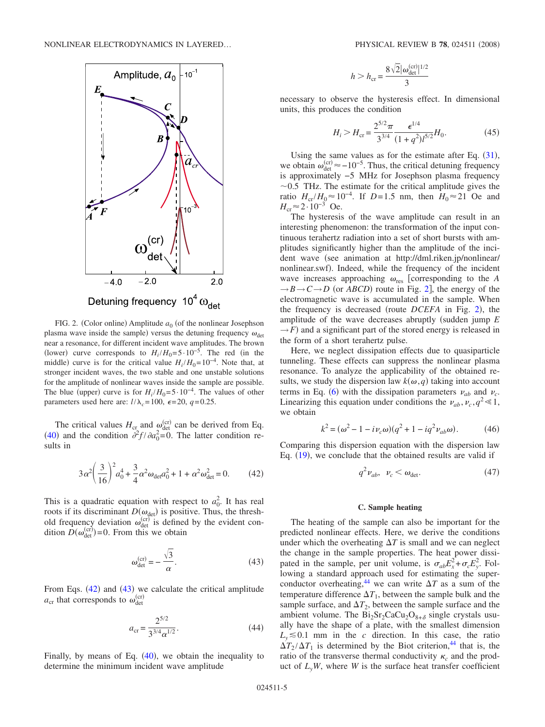<span id="page-4-0"></span>

FIG. 2. (Color online) Amplitude  $a_0$  (of the nonlinear Josephson plasma wave inside the sample) versus the detuning frequency  $\omega_{\text{det}}$ near a resonance, for different incident wave amplitudes. The brown (lower) curve corresponds to  $H_i/H_0 = 5.10^{-5}$ . The red (in the middle) curve is for the critical value  $H_i/H_0=10^{-4}$ . Note that, at stronger incident waves, the two stable and one unstable solutions for the amplitude of nonlinear waves inside the sample are possible. The blue (upper) curve is for  $H_i/H_0 = 5 \cdot 10^{-4}$ . The values of other parameters used here are:  $l/\lambda_c = 100$ ,  $\epsilon = 20$ ,  $q = 0.25$ .

The critical values  $H_{\text{cr}}$  and  $\omega_{\text{det}}^{(\text{cr})}$  can be derived from Eq. ([40](#page-3-6)) and the condition  $\partial^2 f / \partial a_0^2 = 0$ . The latter condition results in

$$
3\alpha^2 \left(\frac{3}{16}\right)^2 a_0^4 + \frac{3}{4} \alpha^2 \omega_{\text{det}} a_0^2 + 1 + \alpha^2 \omega_{\text{det}}^2 = 0. \tag{42}
$$

<span id="page-4-1"></span>This is a quadratic equation with respect to  $a_0^2$ . It has real roots if its discriminant  $D(\omega_{\text{det}})$  is positive. Thus, the threshold frequency deviation  $\omega_{\text{det}}^{(\text{cr})}$  is defined by the evident condition  $\hat{D}(\omega_{\text{det}}^{(\text{cr})}) = 0$ . From this we obtain

$$
\omega_{\text{det}}^{(\text{cr})} = -\frac{\sqrt{3}}{\alpha}.
$$
 (43)

<span id="page-4-2"></span>From Eqs.  $(42)$  $(42)$  $(42)$  and  $(43)$  $(43)$  $(43)$  we calculate the critical amplitude  $a_{\rm cr}$  that corresponds to  $\omega_{\rm det}^{\rm (cr)}$ 

$$
a_{\rm cr} = \frac{2^{5/2}}{3^{3/4} \alpha^{1/2}}.
$$
 (44)

Finally, by means of Eq.  $(40)$  $(40)$  $(40)$ , we obtain the inequality to determine the minimum incident wave amplitude

$$
h > h_{\rm cr} = \frac{8\sqrt{2}|\omega_{\rm det}^{\rm (cr)}|^{1/2}}{3}
$$

necessary to observe the hysteresis effect. In dimensional units, this produces the condition

$$
H_i > H_{\rm cr} = \frac{2^{5/2} \pi}{3^{3/4}} \frac{\epsilon^{1/4}}{(1+q^2)l^{5/2}} H_0.
$$
 (45)

Using the same values as for the estimate after Eq.  $(31)$  $(31)$  $(31)$ , we obtain  $\omega_{\text{det}}^{(\text{cr})} \approx -10^{-5}$ . Thus, the critical detuning frequency is approximately −5 MHz for Josephson plasma frequency  $\sim$  0.5 THz. The estimate for the critical amplitude gives the ratio  $H_{cr}/H_0 \approx 10^{-4}$ . If *D*=1.5 nm, then  $H_0 \approx 21$  Oe and  $H_{cr} \approx 2.10^{-3}$  Oe.

The hysteresis of the wave amplitude can result in an interesting phenomenon: the transformation of the input continuous terahertz radiation into a set of short bursts with amplitudes significantly higher than the amplitude of the incident wave (see animation at http://dml.riken.jp/nonlinear/ nonlinear.swf). Indeed, while the frequency of the incident wave increases approaching  $\omega_{\text{res}}$  [corresponding to the *A*  $\rightarrow$  *B* $\rightarrow$  *C* $\rightarrow$  *D* (or *ABCD*) route in Fig. [2](#page-4-0)], the energy of the electromagnetic wave is accumulated in the sample. When the frequency is decreased (route *DCEFA* in Fig. [2](#page-4-0)), the amplitude of the wave decreases abruptly (sudden jump *E*  $\rightarrow$  *F*) and a significant part of the stored energy is released in the form of a short terahertz pulse.

Here, we neglect dissipation effects due to quasiparticle tunneling. These effects can suppress the nonlinear plasma resonance. To analyze the applicability of the obtained results, we study the dispersion law  $k(\omega, q)$  taking into account terms in Eq. ([6](#page-1-2)) with the dissipation parameters  $v_{ab}$  and  $v_c$ . Linearizing this equation under conditions the  $v_{ab}$ ,  $v_c$ ,  $q^2 \ll 1$ , we obtain

$$
k^{2} = (\omega^{2} - 1 - i\nu_{c}\omega)(q^{2} + 1 - iq^{2}\nu_{ab}\omega).
$$
 (46)

<span id="page-4-3"></span>Comparing this dispersion equation with the dispersion law Eq.  $(19)$  $(19)$  $(19)$ , we conclude that the obtained results are valid if

$$
q^2 \nu_{ab}, \ \nu_c < \omega_{\text{det}}.\tag{47}
$$

## **C. Sample heating**

The heating of the sample can also be important for the predicted nonlinear effects. Here, we derive the conditions under which the overheating  $\Delta T$  is small and we can neglect the change in the sample properties. The heat power dissipated in the sample, per unit volume, is  $\sigma_{ab} E_x^2 + \sigma_c E_y^2$ . Following a standard approach used for estimating the superconductor overheating,<sup>44</sup> we can write  $\Delta T$  as a sum of the temperature difference  $\Delta T_1$ , between the sample bulk and the sample surface, and  $\Delta T_2$ , between the sample surface and the ambient volume. The  $Bi_2Sr_2CaCu_2O_{8+\delta}$  single crystals usually have the shape of a plate, with the smallest dimension  $L_y \leq 0.1$  mm in the *c* direction. In this case, the ratio  $\Delta T_2 / \Delta T_1$  is determined by the Biot criterion,<sup>44</sup> that is, the ratio of the transverse thermal conductivity  $\kappa_c$  and the product of  $L_vW$ , where *W* is the surface heat transfer coefficient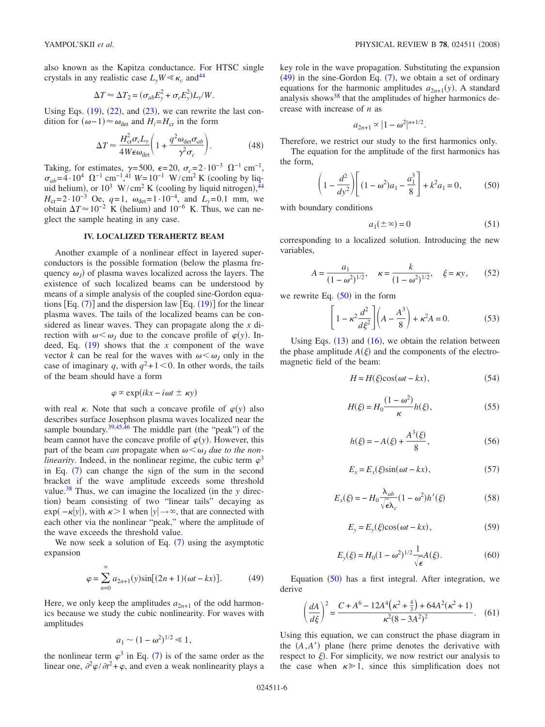also known as the Kapitza conductance. For HTSC single crystals in any realistic case  $L_vW \ll \kappa_c$  and <sup>44</sup>

$$
\Delta T \approx \Delta T_2 = (\sigma_{ab} E_y^2 + \sigma_c E_y^2) L_y / W.
$$

Using Eqs.  $(19)$  $(19)$  $(19)$ ,  $(22)$  $(22)$  $(22)$ , and  $(23)$  $(23)$  $(23)$ , we can rewrite the last condition for  $(ω-1) ≈ ω<sub>det</sub>$  and  $H_i = H<sub>cr</sub>$  in the form

$$
\Delta T \approx \frac{H_{\rm cr}^2 \sigma_c L_y}{4W \epsilon \omega_{\rm det}} \left( 1 + \frac{q^2 \omega_{\rm det} \sigma_{ab}}{\gamma^2 \sigma_c} \right). \tag{48}
$$

<span id="page-5-6"></span>Taking, for estimates,  $\gamma = 500$ ,  $\epsilon = 20$ ,  $\sigma_c = 2 \cdot 10^{-3} \Omega^{-1}$  cm<sup>-1</sup>,  $\sigma_{ab} = 4.10^4 \Omega^{-1} \text{ cm}^{-1}$ ,<sup>[41](#page-8-19)</sup> *W*=10<sup>-1</sup> W/cm<sup>2</sup> K (cooling by liquid helium), or  $10^3$  W/cm<sup>2</sup> K (cooling by liquid nitrogen),<sup>[44](#page-8-22)</sup> *H*<sub>cr</sub>=2·10<sup>-3</sup> Oe, *q*=1,  $\omega_{det}$ =1·10<sup>-4</sup>, and *L<sub>y</sub>*=0.1 mm, we obtain  $\Delta T \approx 10^{-2}$  K (helium) and 10<sup>-6</sup> K. Thus, we can neglect the sample heating in any case.

## **IV. LOCALIZED TERAHERTZ BEAM**

Another example of a nonlinear effect in layered superconductors is the possible formation (below the plasma frequency  $\omega_J$ ) of plasma waves localized across the layers. The existence of such localized beams can be understood by means of a simple analysis of the coupled sine-Gordon equations  $[Eq. (7)]$  $[Eq. (7)]$  $[Eq. (7)]$  and the dispersion law  $[Eq. (19)]$  $[Eq. (19)]$  $[Eq. (19)]$  for the linear plasma waves. The tails of the localized beams can be considered as linear waves. They can propagate along the *x* direction with  $\omega \leq \omega_J$  due to the concave profile of  $\varphi(y)$ . Indeed, Eq.  $(19)$  $(19)$  $(19)$  shows that the *x* component of the wave vector *k* can be real for the waves with  $\omega \leq \omega_I$  only in the case of imaginary *q*, with  $q^2+1<0$ . In other words, the tails of the beam should have a form

$$
\varphi \propto \exp(ikx - i\omega t \pm \kappa y)
$$

with real  $\kappa$ . Note that such a concave profile of  $\varphi(y)$  also describes surface Josephson plasma waves localized near the sample boundary. $39,45,46$  $39,45,46$  $39,45,46$  The middle part (the "peak") of the beam cannot have the concave profile of  $\varphi(y)$ . However, this part of the beam *can* propagate when  $\omega \leq \omega_l$  *due to the nonlinearity*. Indeed, in the nonlinear regime, the cubic term  $\varphi^3$ in Eq.  $(7)$  $(7)$  $(7)$  can change the sign of the sum in the second bracket if the wave amplitude exceeds some threshold value.<sup>38</sup> Thus, we can imagine the localized (in the  $y$  direction) beam consisting of two "linear tails" decaying as exp( – *k*|y|), with *k* > 1 when  $|y| \rightarrow \infty$ , that are connected with each other via the nonlinear "peak," where the amplitude of the wave exceeds the threshold value.

We now seek a solution of Eq.  $(7)$  $(7)$  $(7)$  using the asymptotic expansion

$$
\varphi = \sum_{n=0}^{\infty} a_{2n+1}(y) \sin[(2n+1)(\omega t - kx)].
$$
 (49)

<span id="page-5-0"></span>Here, we only keep the amplitudes  $a_{2n+1}$  of the odd harmonics because we study the cubic nonlinearity. For waves with amplitudes

$$
a_1 \sim (1 - \omega^2)^{1/2} \ll 1,
$$

the nonlinear term  $\varphi^3$  in Eq. ([7](#page-1-3)) is of the same order as the linear one,  $\partial^2 \varphi / \partial t^2 + \varphi$ , and even a weak nonlinearity plays a key role in the wave propagation. Substituting the expansion  $(49)$  $(49)$  $(49)$  in the sine-Gordon Eq.  $(7)$  $(7)$  $(7)$ , we obtain a set of ordinary equations for the harmonic amplitudes  $a_{2n+1}(y)$ . A standard analysis shows $38$  that the amplitudes of higher harmonics decrease with increase of *n* as

$$
a_{2n+1} \propto |1 - \omega^2|^{n+1/2}.
$$

Therefore, we restrict our study to the first harmonics only.

The equation for the amplitude of the first harmonics has the form,

$$
\left(1 - \frac{d^2}{dy^2}\right) \left[ (1 - \omega^2)a_1 - \frac{a_1^3}{8} \right] + k^2 a_1 = 0, \tag{50}
$$

<span id="page-5-1"></span>with boundary conditions

$$
a_1(\pm \infty) = 0 \tag{51}
$$

<span id="page-5-3"></span>corresponding to a localized solution. Introducing the new variables,

$$
A = \frac{a_1}{(1 - \omega^2)^{1/2}}, \quad \kappa = \frac{k}{(1 - \omega^2)^{1/2}}, \quad \xi = \kappa y,\qquad(52)
$$

<span id="page-5-5"></span>we rewrite Eq.  $(50)$  $(50)$  $(50)$  in the form

$$
\[1 - \kappa^2 \frac{d^2}{d\xi^2} \](A - \frac{A^3}{8}) + \kappa^2 A = 0. \tag{53}
$$

Using Eqs.  $(13)$  $(13)$  $(13)$  and  $(16)$  $(16)$  $(16)$ , we obtain the relation between the phase amplitude  $A(\xi)$  and the components of the electromagnetic field of the beam:

$$
H = H(\xi)\cos(\omega t - kx),\tag{54}
$$

$$
H(\xi) = H_0 \frac{(1 - \omega^2)}{\kappa} h(\xi),\tag{55}
$$

<span id="page-5-4"></span>
$$
h(\xi) = -A(\xi) + \frac{A^3(\xi)}{8},\tag{56}
$$

$$
E_x = E_x(\xi)\sin(\omega t - kx),\tag{57}
$$

$$
E_x(\xi) = -H_0 \frac{\lambda_{ab}}{\sqrt{\epsilon} \lambda_c} (1 - \omega^2) h'(\xi)
$$
 (58)

$$
E_y = E_y(\xi)\cos(\omega t - kx),\tag{59}
$$

$$
E_y(\xi) = H_0 (1 - \omega^2)^{1/2} \frac{1}{\sqrt{\epsilon}} A(\xi).
$$
 (60)

Equation ([50](#page-5-1)) has a first integral. After integration, we derive

$$
\left(\frac{dA}{d\xi}\right)^2 = \frac{C + A^6 - 12A^4\left(\kappa^2 + \frac{4}{3}\right) + 64A^2(\kappa^2 + 1)}{\kappa^2 (8 - 3A^2)^2}.
$$
 (61)

<span id="page-5-2"></span>Using this equation, we can construct the phase diagram in the  $(A, A')$  plane (here prime denotes the derivative with respect to  $\xi$ ). For simplicity, we now restrict our analysis to the case when  $\kappa \geq 1$ , since this simplification does not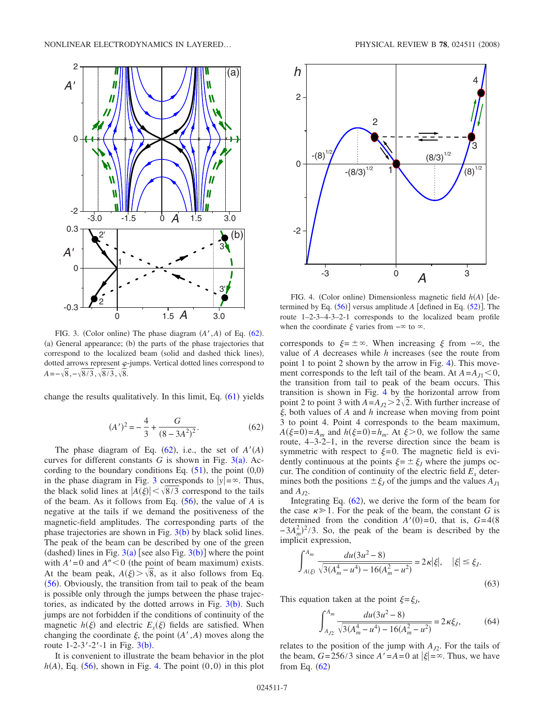<span id="page-6-1"></span>

FIG. 3. (Color online) The phase diagram  $(A', A)$  of Eq. ([62](#page-6-0)). (a) General appearance; (b) the parts of the phase trajectories that correspond to the localized beam (solid and dashed thick lines), dotted arrows represent  $\varphi$ -jumps. Vertical dotted lines correspond to  $A = -\sqrt{8}, -\sqrt{8/3}, \sqrt{8/3}, \sqrt{8}.$ 

change the results qualitatively. In this limit, Eq.  $(61)$  $(61)$  $(61)$  yields

$$
(A')^{2} = -\frac{4}{3} + \frac{G}{(8 - 3A^{2})^{2}}.
$$
 (62)

<span id="page-6-0"></span>The phase diagram of Eq.  $(62)$  $(62)$  $(62)$ , i.e., the set of  $A'(A)$ curves for different constants  $G$  is shown in Fig.  $3(a)$  $3(a)$ . According to the boundary conditions Eq.  $(51)$  $(51)$  $(51)$ , the point  $(0,0)$ in the phase diagram in Fig. [3](#page-6-1) corresponds to  $|y| = \infty$ . Thus, the black solid lines at  $|A(\xi)| < \sqrt{8/3}$  correspond to the tails of the beam. As it follows from Eq.  $(56)$  $(56)$  $(56)$ , the value of *A* is negative at the tails if we demand the positiveness of the magnetic-field amplitudes. The corresponding parts of the phase trajectories are shown in Fig.  $3(b)$  $3(b)$  by black solid lines. The peak of the beam can be described by one of the green (dashed) lines in Fig.  $3(a)$  $3(a)$  [see also Fig.  $3(b)$ ] where the point with  $A' = 0$  and  $A'' < 0$  (the point of beam maximum) exists. At the beam peak,  $A(\xi) > \sqrt{8}$ , as it also follows from Eq. ([56](#page-5-4)). Obviously, the transition from tail to peak of the beam is possible only through the jumps between the phase trajectories, as indicated by the dotted arrows in Fig.  $3(b)$  $3(b)$ . Such jumps are not forbidden if the conditions of continuity of the magnetic  $h(\xi)$  and electric  $E_x(\xi)$  fields are satisfied. When changing the coordinate  $\xi$ , the point  $(A', A)$  moves along the route  $1-2-3'-2'-1$  $1-2-3'-2'-1$  $1-2-3'-2'-1$  in Fig.  $3(b)$ .

It is convenient to illustrate the beam behavior in the plot  $h(A)$ , Eq. ([56](#page-5-4)), shown in Fig. [4.](#page-6-2) The point  $(0,0)$  in this plot

<span id="page-6-2"></span>

FIG. 4. (Color online) Dimensionless magnetic field  $h(A)$  [determined by Eq.  $(56)$  $(56)$  $(56)$ ] versus amplitude *A* [defined in Eq.  $(52)$  $(52)$  $(52)$ ]. The route 1–2-3–4-3–2-1 corresponds to the localized beam profile when the coordinate  $\xi$  varies from  $-\infty$  to  $\infty$ .

corresponds to  $\xi = \pm \infty$ . When increasing  $\xi$  from  $-\infty$ , the value of *A* decreases while *h* increases (see the route from point 1 to point 2 shown by the arrow in Fig.  $4$ ). This movement corresponds to the left tail of the beam. At  $A = A_{J1} < 0$ , the transition from tail to peak of the beam occurs. This transition is shown in Fig. [4](#page-6-2) by the horizontal arrow from point 2 to point 3 with  $A=A_{J2} > 2\sqrt{2}$ . With further increase of , both values of *A* and *h* increase when moving from point 3 to point 4. Point 4 corresponds to the beam maximum,  $A(\xi=0) = A_m$  and  $h(\xi=0) = h_m$ . At  $\xi > 0$ , we follow the same route, 4–3-2–1, in the reverse direction since the beam is symmetric with respect to  $\xi=0$ . The magnetic field is evidently continuous at the points  $\xi = \pm \xi_j$  where the jumps occur. The condition of continuity of the electric field  $E_x$  determines both the positions  $\pm \xi_j$  of the jumps and the values  $A_{j1}$ and  $A<sub>D</sub>$ .

Integrating Eq.  $(62)$  $(62)$  $(62)$ , we derive the form of the beam for the case  $\kappa \geq 1$ . For the peak of the beam, the constant *G* is determined from the condition  $A'(0)=0$ , that is,  $G=4(8)$  $(-3A_m^2)^2/3$ . So, the peak of the beam is described by the implicit expression,

$$
\int_{A(\xi)}^{A_m} \frac{du(3u^2 - 8)}{\sqrt{3(A_m^4 - u^4) - 16(A_m^2 - u^2)}} = 2\kappa |\xi|, \quad |\xi| \le \xi_J.
$$
\n(63)

This equation taken at the point  $\xi = \xi_J$ ,

$$
\int_{A_{J2}}^{A_m} \frac{du(3u^2 - 8)}{\sqrt{3(A_m^4 - u^4) - 16(A_m^2 - u^2)}} = 2\kappa \xi_J,
$$
 (64)

relates to the position of the jump with  $A_{I2}$ . For the tails of the beam,  $G=256/3$  since  $A'=A=0$  at  $|\xi|=\infty$ . Thus, we have from Eq.  $(62)$  $(62)$  $(62)$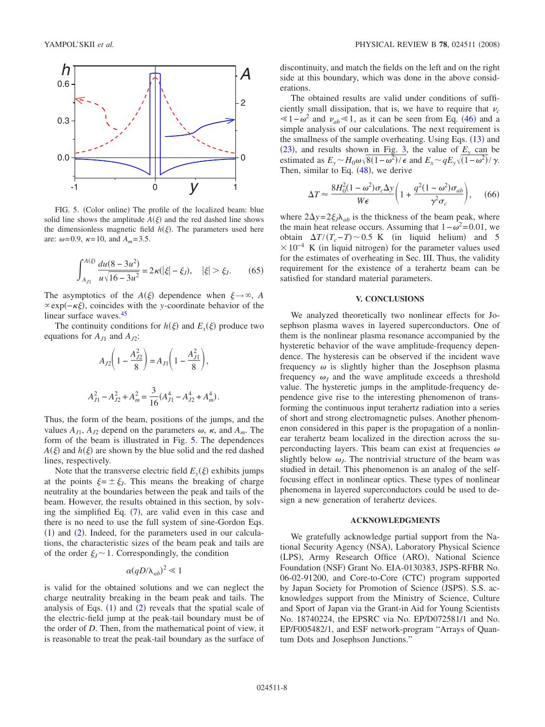<span id="page-7-0"></span>

FIG. 5. (Color online) The profile of the localized beam: blue solid line shows the amplitude  $A(\xi)$  and the red dashed line shows the dimensionless magnetic field  $h(\xi)$ . The parameters used here are:  $\omega$ =0.9,  $\kappa$ =10, and  $A_m$ =3.5.

$$
\int_{A_{J1}}^{A(\xi)} \frac{du(8-3u^2)}{u\sqrt{16-3u^2}} = 2\kappa(|\xi| - \xi_J), \quad |\xi| > \xi_J. \tag{65}
$$

The asymptotics of the *A*( $\xi$ ) dependence when  $\xi \rightarrow \infty$ , *A* exp−-, coincides with the *y*-coordinate behavior of the linear surface waves.<sup>45</sup>

The continuity conditions for  $h(\xi)$  and  $E_x(\xi)$  produce two equations for  $A_{J1}$  and  $A_{J2}$ :

$$
A_{J2}\left(1 - \frac{A_{J2}^2}{8}\right) = A_{J1}\left(1 - \frac{A_{J1}^2}{8}\right),
$$
  

$$
A_{J1}^2 - A_{J2}^2 + A_m^2 = \frac{3}{16}(A_{J1}^4 - A_{J2}^4 + A_m^4).
$$

Thus, the form of the beam, positions of the jumps, and the values  $A_{J1}$ ,  $A_{J2}$  depend on the parameters  $\omega$ ,  $\kappa$ , and  $A_m$ . The form of the beam is illustrated in Fig. [5.](#page-7-0) The dependences  $A(\xi)$  and  $h(\xi)$  are shown by the blue solid and the red dashed lines, respectively.

Note that the transverse electric field  $E_y(\xi)$  exhibits jumps at the points  $\xi = \pm \xi_j$ . This means the breaking of charge neutrality at the boundaries between the peak and tails of the beam. However, the results obtained in this section, by solving the simplified Eq.  $(7)$  $(7)$  $(7)$ , are valid even in this case and there is no need to use the full system of sine-Gordon Eqs.  $(1)$  $(1)$  $(1)$  and  $(2)$  $(2)$  $(2)$ . Indeed, for the parameters used in our calculations, the characteristic sizes of the beam peak and tails are of the order  $\xi_l \sim 1$ . Correspondingly, the condition

$$
\alpha(qD/\lambda_{ab})^2 \ll 1
$$

is valid for the obtained solutions and we can neglect the charge neutrality breaking in the beam peak and tails. The analysis of Eqs.  $(1)$  $(1)$  $(1)$  and  $(2)$  $(2)$  $(2)$  reveals that the spatial scale of the electric-field jump at the peak-tail boundary must be of the order of *D*. Then, from the mathematical point of view, it is reasonable to treat the peak-tail boundary as the surface of discontinuity, and match the fields on the left and on the right side at this boundary, which was done in the above considerations.

The obtained results are valid under conditions of sufficiently small dissipation, that is, we have to require that  $\nu_c$  $\leq 1-\omega^2$  and  $\nu_{ab}\leq 1$ , as it can be seen from Eq. ([46](#page-4-3)) and a simple analysis of our calculations. The next requirement is the smallness of the sample overheating. Using Eqs. ([13](#page-2-0)) and  $(23)$  $(23)$  $(23)$ , and results shown in Fig. [3,](#page-6-1) the value of  $E_y$  can be estimated as  $E_y \sim H_0 \omega \sqrt{8(1-\omega^2)/\epsilon}$  and  $E_x \sim qE_y \sqrt{(1-\omega^2)}/\gamma$ . Then, similar to Eq.  $(48)$  $(48)$  $(48)$ , we derive

$$
\Delta T \approx \frac{8H_0^2(1-\omega^2)\sigma_c\Delta y}{W\epsilon} \bigg(1 + \frac{q^2(1-\omega^2)\sigma_{ab}}{\gamma^2\sigma_c}\bigg),\qquad(66)
$$

where  $2\Delta y = 2\xi_j \lambda_{ab}$  is the thickness of the beam peak, where the main heat release occurs. Assuming that  $1-\omega^2=0.01$ , we obtain  $\Delta T/(T_c - T) \sim 0.5$  K (in liquid helium) and 5  $\times 10^{-4}$  K (in liquid nitrogen) for the parameter values used for the estimates of overheating in Sec. III. Thus, the validity requirement for the existence of a terahertz beam can be satisfied for standard material parameters.

## **V. CONCLUSIONS**

We analyzed theoretically two nonlinear effects for Josephson plasma waves in layered superconductors. One of them is the nonlinear plasma resonance accompanied by the hysteretic behavior of the wave amplitude-frequency dependence. The hysteresis can be observed if the incident wave frequency  $\omega$  is slightly higher than the Josephson plasma frequency  $\omega_I$  and the wave amplitude exceeds a threshold value. The hysteretic jumps in the amplitude-frequency dependence give rise to the interesting phenomenon of transforming the continuous input terahertz radiation into a series of short and strong electromagnetic pulses. Another phenomenon considered in this paper is the propagation of a nonlinear terahertz beam localized in the direction across the superconducting layers. This beam can exist at frequencies  $\omega$ slightly below  $\omega_j$ . The nontrivial structure of the beam was studied in detail. This phenomenon is an analog of the selffocusing effect in nonlinear optics. These types of nonlinear phenomena in layered superconductors could be used to design a new generation of terahertz devices.

### **ACKNOWLEDGMENTS**

We gratefully acknowledge partial support from the National Security Agency (NSA), Laboratory Physical Science (LPS), Army Research Office (ARO), National Science Foundation (NSF) Grant No. EIA-0130383, JSPS-RFBR No. 06-02-91200, and Core-to-Core (CTC) program supported by Japan Society for Promotion of Science (JSPS). S.S. acknowledges support from the Ministry of Science, Culture and Sport of Japan via the Grant-in Aid for Young Scientists No. 18740224, the EPSRC via No. EP/D072581/1 and No. EP/F005482/1, and ESF network-program "Arrays of Quantum Dots and Josephson Junctions."